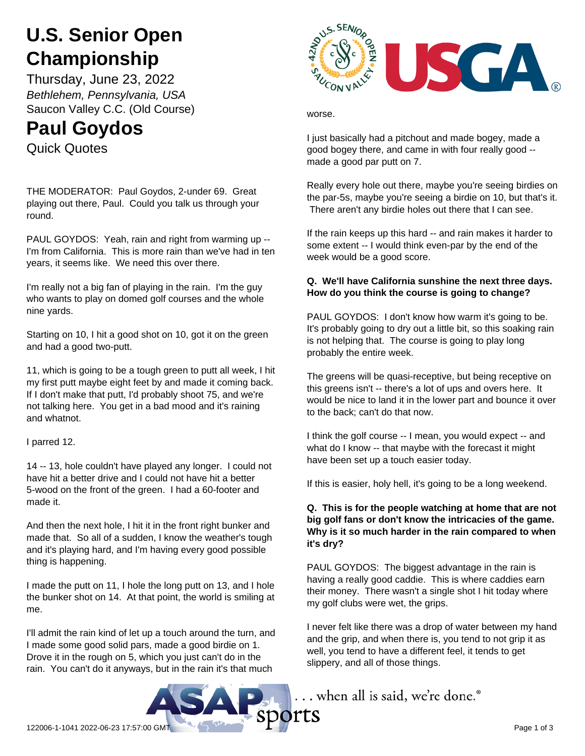# **U.S. Senior Open Championship**

Thursday, June 23, 2022 *Bethlehem, Pennsylvania, USA* Saucon Valley C.C. (Old Course)

## **Paul Goydos**

Quick Quotes

THE MODERATOR: Paul Goydos, 2-under 69. Great playing out there, Paul. Could you talk us through your round.

PAUL GOYDOS: Yeah, rain and right from warming up -- I'm from California. This is more rain than we've had in ten years, it seems like. We need this over there.

I'm really not a big fan of playing in the rain. I'm the guy who wants to play on domed golf courses and the whole nine yards.

Starting on 10, I hit a good shot on 10, got it on the green and had a good two-putt.

11, which is going to be a tough green to putt all week, I hit my first putt maybe eight feet by and made it coming back. If I don't make that putt, I'd probably shoot 75, and we're not talking here. You get in a bad mood and it's raining and whatnot.

I parred 12.

14 -- 13, hole couldn't have played any longer. I could not have hit a better drive and I could not have hit a better 5-wood on the front of the green. I had a 60-footer and made it.

And then the next hole, I hit it in the front right bunker and made that. So all of a sudden, I know the weather's tough and it's playing hard, and I'm having every good possible thing is happening.

I made the putt on 11, I hole the long putt on 13, and I hole the bunker shot on 14. At that point, the world is smiling at me.

I'll admit the rain kind of let up a touch around the turn, and I made some good solid pars, made a good birdie on 1. Drove it in the rough on 5, which you just can't do in the rain. You can't do it anyways, but in the rain it's that much



worse.

I just basically had a pitchout and made bogey, made a good bogey there, and came in with four really good - made a good par putt on 7.

Really every hole out there, maybe you're seeing birdies on the par-5s, maybe you're seeing a birdie on 10, but that's it. There aren't any birdie holes out there that I can see.

If the rain keeps up this hard -- and rain makes it harder to some extent -- I would think even-par by the end of the week would be a good score.

### **Q. We'll have California sunshine the next three days. How do you think the course is going to change?**

PAUL GOYDOS: I don't know how warm it's going to be. It's probably going to dry out a little bit, so this soaking rain is not helping that. The course is going to play long probably the entire week.

The greens will be quasi-receptive, but being receptive on this greens isn't -- there's a lot of ups and overs here. It would be nice to land it in the lower part and bounce it over to the back; can't do that now.

I think the golf course -- I mean, you would expect -- and what do I know -- that maybe with the forecast it might have been set up a touch easier today.

If this is easier, holy hell, it's going to be a long weekend.

#### **Q. This is for the people watching at home that are not big golf fans or don't know the intricacies of the game. Why is it so much harder in the rain compared to when it's dry?**

PAUL GOYDOS: The biggest advantage in the rain is having a really good caddie. This is where caddies earn their money. There wasn't a single shot I hit today where my golf clubs were wet, the grips.

I never felt like there was a drop of water between my hand and the grip, and when there is, you tend to not grip it as well, you tend to have a different feel, it tends to get slippery, and all of those things.

... when all is said, we're done.

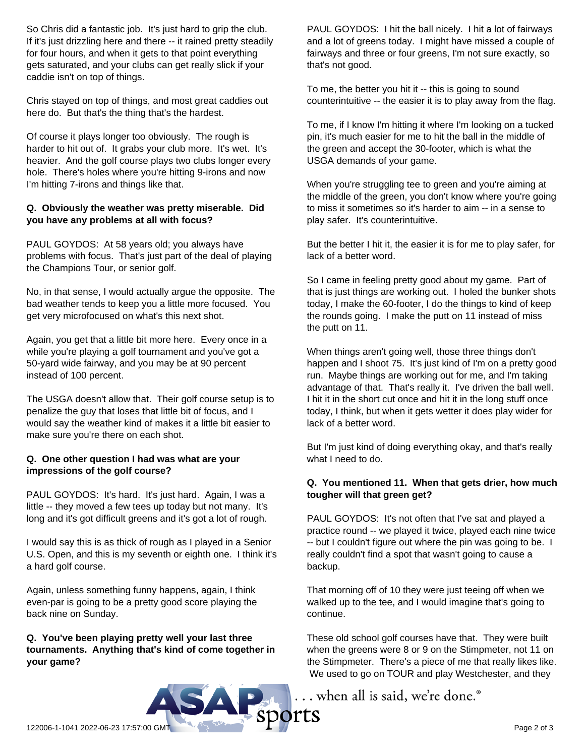So Chris did a fantastic job. It's just hard to grip the club. If it's just drizzling here and there -- it rained pretty steadily for four hours, and when it gets to that point everything gets saturated, and your clubs can get really slick if your caddie isn't on top of things.

Chris stayed on top of things, and most great caddies out here do. But that's the thing that's the hardest.

Of course it plays longer too obviously. The rough is harder to hit out of. It grabs your club more. It's wet. It's heavier. And the golf course plays two clubs longer every hole. There's holes where you're hitting 9-irons and now I'm hitting 7-irons and things like that.

#### **Q. Obviously the weather was pretty miserable. Did you have any problems at all with focus?**

PAUL GOYDOS: At 58 years old; you always have problems with focus. That's just part of the deal of playing the Champions Tour, or senior golf.

No, in that sense, I would actually argue the opposite. The bad weather tends to keep you a little more focused. You get very microfocused on what's this next shot.

Again, you get that a little bit more here. Every once in a while you're playing a golf tournament and you've got a 50-yard wide fairway, and you may be at 90 percent instead of 100 percent.

The USGA doesn't allow that. Their golf course setup is to penalize the guy that loses that little bit of focus, and I would say the weather kind of makes it a little bit easier to make sure you're there on each shot.

#### **Q. One other question I had was what are your impressions of the golf course?**

PAUL GOYDOS: It's hard. It's just hard. Again, I was a little -- they moved a few tees up today but not many. It's long and it's got difficult greens and it's got a lot of rough.

I would say this is as thick of rough as I played in a Senior U.S. Open, and this is my seventh or eighth one. I think it's a hard golf course.

Again, unless something funny happens, again, I think even-par is going to be a pretty good score playing the back nine on Sunday.

**Q. You've been playing pretty well your last three tournaments. Anything that's kind of come together in your game?**

PAUL GOYDOS: I hit the ball nicely. I hit a lot of fairways and a lot of greens today. I might have missed a couple of fairways and three or four greens, I'm not sure exactly, so that's not good.

To me, the better you hit it -- this is going to sound counterintuitive -- the easier it is to play away from the flag.

To me, if I know I'm hitting it where I'm looking on a tucked pin, it's much easier for me to hit the ball in the middle of the green and accept the 30-footer, which is what the USGA demands of your game.

When you're struggling tee to green and you're aiming at the middle of the green, you don't know where you're going to miss it sometimes so it's harder to aim -- in a sense to play safer. It's counterintuitive.

But the better I hit it, the easier it is for me to play safer, for lack of a better word.

So I came in feeling pretty good about my game. Part of that is just things are working out. I holed the bunker shots today, I make the 60-footer, I do the things to kind of keep the rounds going. I make the putt on 11 instead of miss the putt on 11.

When things aren't going well, those three things don't happen and I shoot 75. It's just kind of I'm on a pretty good run. Maybe things are working out for me, and I'm taking advantage of that. That's really it. I've driven the ball well. I hit it in the short cut once and hit it in the long stuff once today, I think, but when it gets wetter it does play wider for lack of a better word.

But I'm just kind of doing everything okay, and that's really what I need to do.

#### **Q. You mentioned 11. When that gets drier, how much tougher will that green get?**

PAUL GOYDOS: It's not often that I've sat and played a practice round -- we played it twice, played each nine twice -- but I couldn't figure out where the pin was going to be. I really couldn't find a spot that wasn't going to cause a backup.

That morning off of 10 they were just teeing off when we walked up to the tee, and I would imagine that's going to continue.

These old school golf courses have that. They were built when the greens were 8 or 9 on the Stimpmeter, not 11 on the Stimpmeter. There's a piece of me that really likes like. We used to go on TOUR and play Westchester, and they

... when all is said, we're done.®